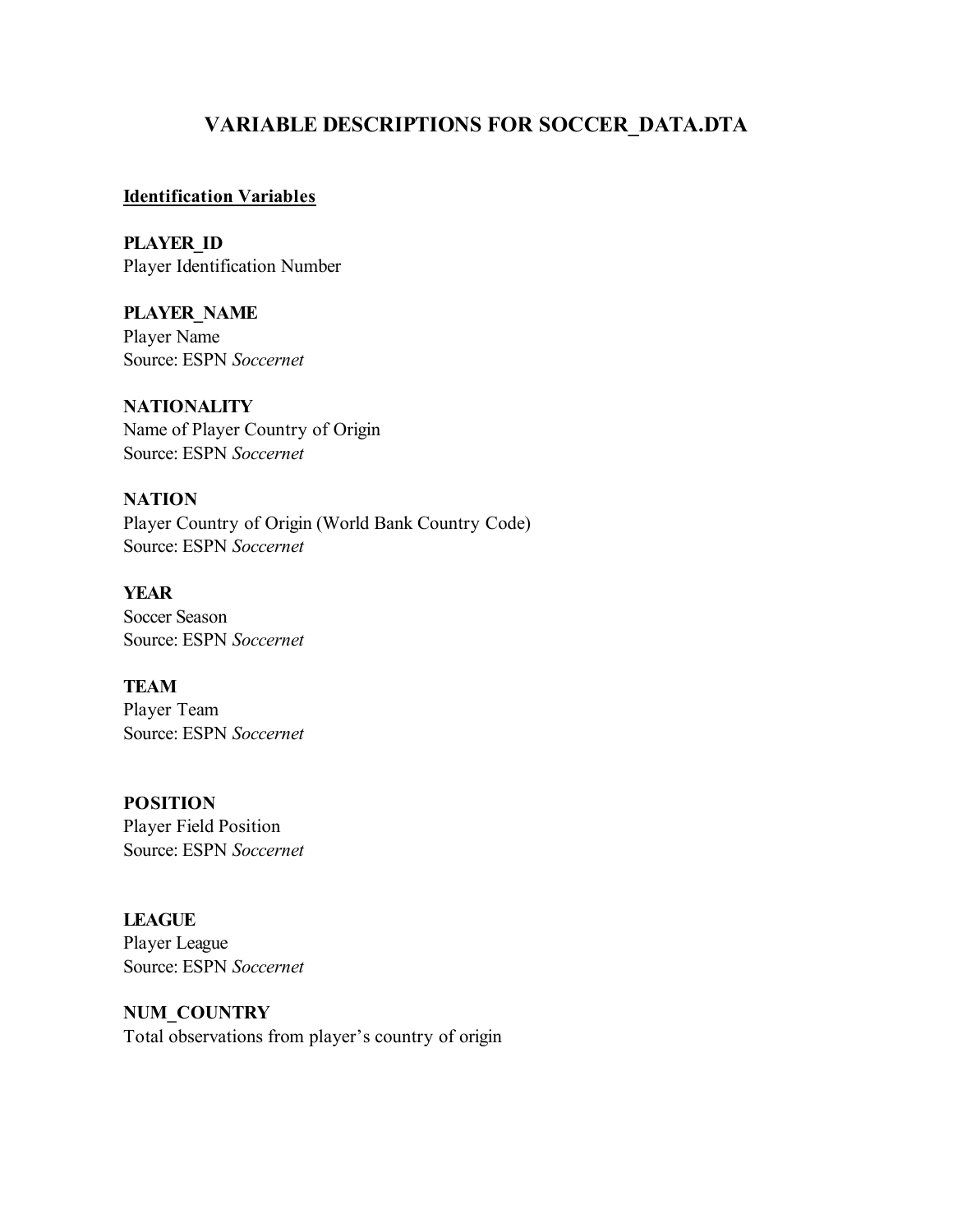# **VARIABLE DESCRIPTIONS FOR SOCCER\_DATA.DTA**

#### **Identification Variables**

**PLAYER\_ID** Player Identification Number

**PLAYER\_NAME** Player Name Source: ESPN *Soccernet*

**NATIONALITY** Name of Player Country of Origin Source: ESPN *Soccernet*

**NATION** Player Country of Origin (World Bank Country Code) Source: ESPN *Soccernet*

**YEAR** Soccer Season Source: ESPN *Soccernet*

**TEAM** Player Team Source: ESPN *Soccernet*

**POSITION** Player Field Position Source: ESPN *Soccernet*

**LEAGUE** Player League Source: ESPN *Soccernet*

**NUM\_COUNTRY** Total observations from player's country of origin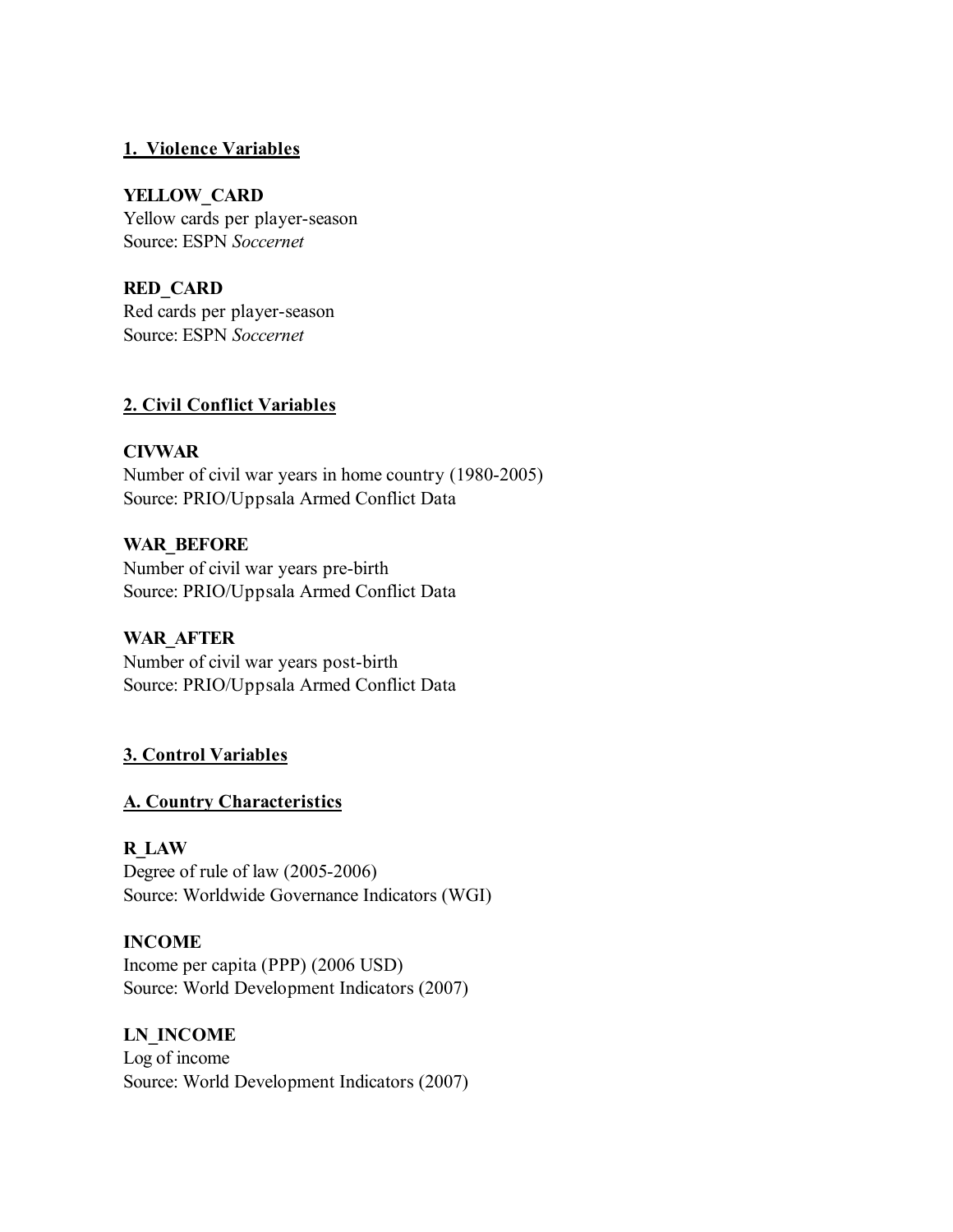#### **1. Violence Variables**

#### **YELLOW\_CARD**

Yellow cards per player-season Source: ESPN *Soccernet*

## **RED\_CARD**

Red cards per player-season Source: ESPN *Soccernet*

## **2. Civil Conflict Variables**

#### **CIVWAR**

Number of civil war years in home country (1980-2005) Source: PRIO/Uppsala Armed Conflict Data

## **WAR\_BEFORE**

Number of civil war years pre-birth Source: PRIO/Uppsala Armed Conflict Data

## **WAR\_AFTER**

Number of civil war years post-birth Source: PRIO/Uppsala Armed Conflict Data

## **3. Control Variables**

#### **A. Country Characteristics**

#### **R\_LAW**

Degree of rule of law (2005-2006) Source: Worldwide Governance Indicators (WGI)

#### **INCOME**

Income per capita (PPP) (2006 USD) Source: World Development Indicators (2007)

#### **LN\_INCOME**

Log of income Source: World Development Indicators (2007)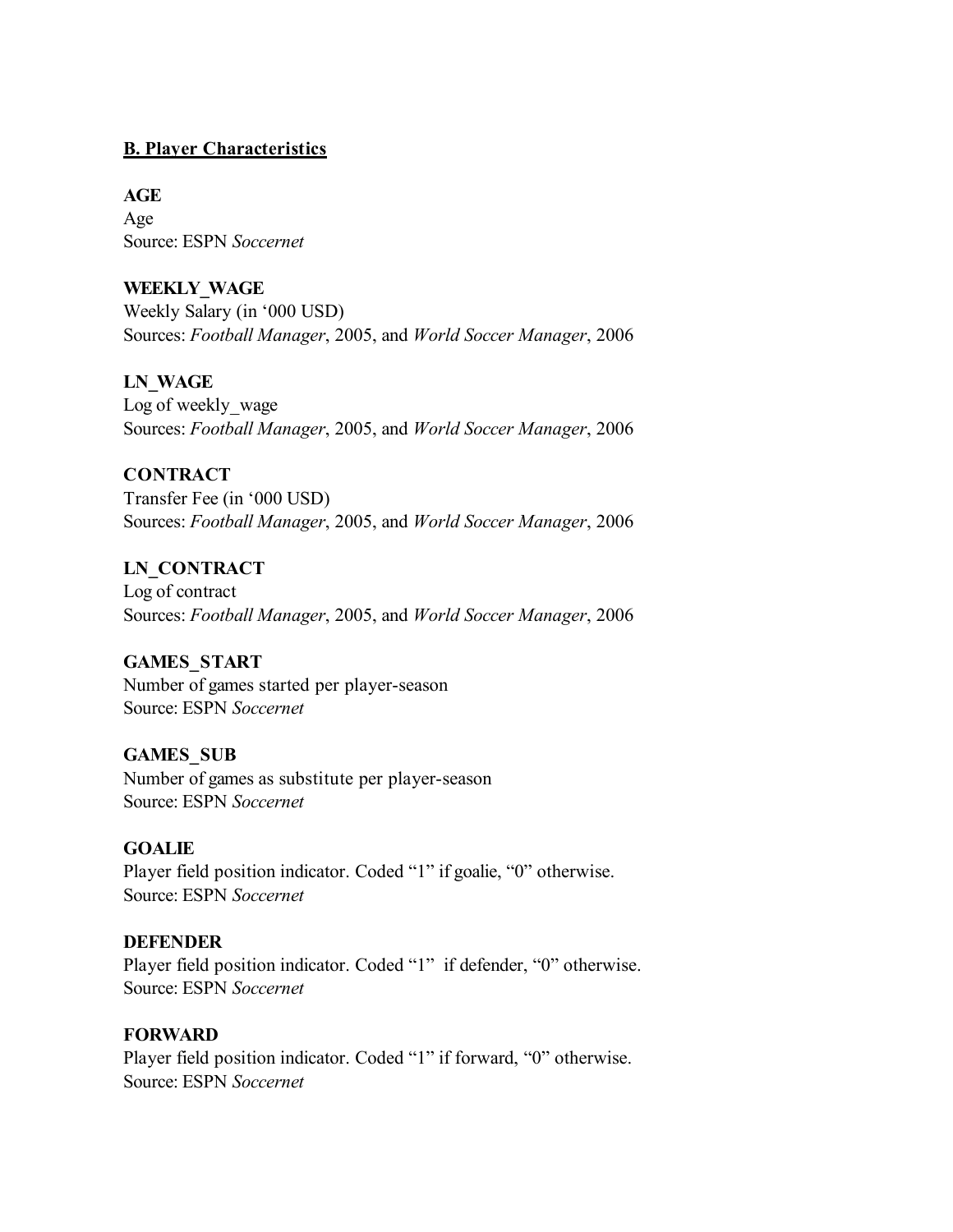### **B. Player Characteristics**

#### **AGE**

Age Source: ESPN *Soccernet*

## **WEEKLY\_WAGE**

Weekly Salary (in '000 USD) Sources: *Football Manager*, 2005, and *World Soccer Manager*, 2006

## **LN\_WAGE**

Log of weekly wage Sources: *Football Manager*, 2005, and *World Soccer Manager*, 2006

## **CONTRACT**

Transfer Fee (in '000 USD) Sources: *Football Manager*, 2005, and *World Soccer Manager*, 2006

## **LN\_CONTRACT**

Log of contract Sources: *Football Manager*, 2005, and *World Soccer Manager*, 2006

#### **GAMES\_START**

Number of games started per player-season Source: ESPN *Soccernet*

#### **GAMES\_SUB**

Number of games as substitute per player-season Source: ESPN *Soccernet*

#### **GOALIE**

Player field position indicator. Coded "1" if goalie, "0" otherwise. Source: ESPN *Soccernet*

#### **DEFENDER**

Player field position indicator. Coded "1" if defender, "0" otherwise. Source: ESPN *Soccernet*

#### **FORWARD**

Player field position indicator. Coded "1" if forward, "0" otherwise. Source: ESPN *Soccernet*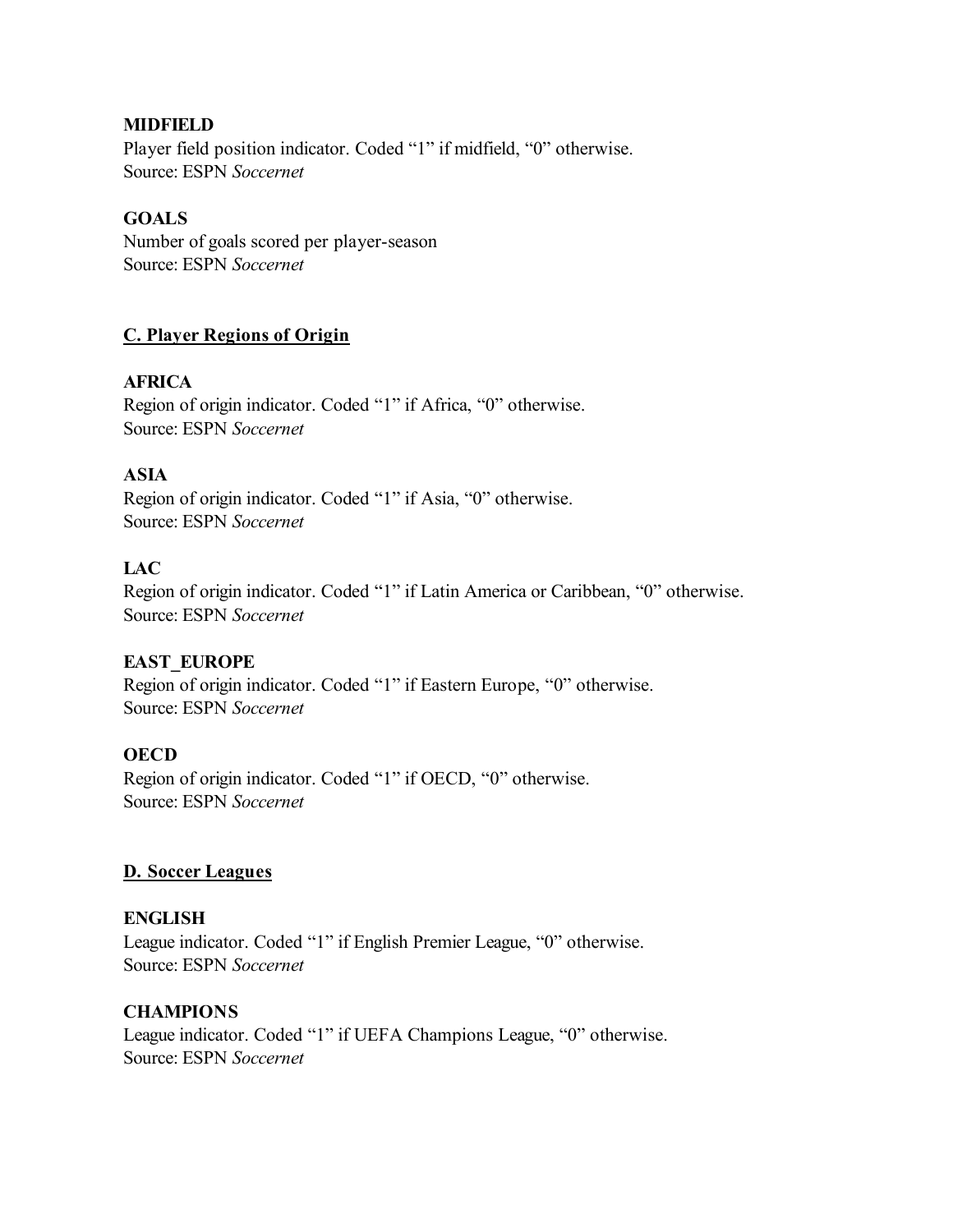### **MIDFIELD**

Player field position indicator. Coded "1" if midfield, "0" otherwise. Source: ESPN *Soccernet*

### **GOALS**

Number of goals scored per player-season Source: ESPN *Soccernet*

## **C. Player Regions of Origin**

## **AFRICA**

Region of origin indicator. Coded "1" if Africa, "0" otherwise. Source: ESPN *Soccernet*

## **ASIA**

Region of origin indicator. Coded "1" if Asia, "0" otherwise. Source: ESPN *Soccernet*

## **LAC**

Region of origin indicator. Coded "1" if Latin America or Caribbean, "0" otherwise. Source: ESPN *Soccernet*

## **EAST\_EUROPE**

Region of origin indicator. Coded "1" if Eastern Europe, "0" otherwise. Source: ESPN *Soccernet*

#### **OECD**

Region of origin indicator. Coded "1" if OECD, "0" otherwise. Source: ESPN *Soccernet*

#### **D. Soccer Leagues**

#### **ENGLISH**

League indicator. Coded "1" if English Premier League, "0" otherwise. Source: ESPN *Soccernet*

#### **CHAMPIONS**

League indicator. Coded "1" if UEFA Champions League, "0" otherwise. Source: ESPN *Soccernet*